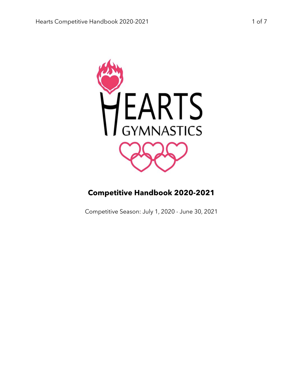

# **Competitive Handbook 2020-2021**

Competitive Season: July 1, 2020 - June 30, 2021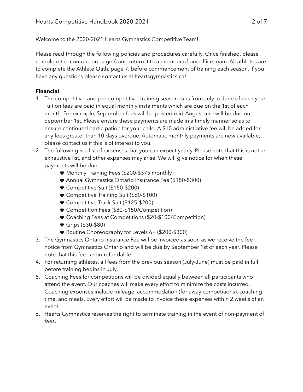Welcome to the 2020-2021 Hearts Gymnastics Competitive Team!

Please read through the following policies and procedures carefully. Once finished, please complete the contract on page 6 and return it to a member of our office team. All athletes are to complete the Athlete Oath, page 7, before commencement of training each season. If you have any questions please contact us at [heartsgymnastics.ca!](http://heartsgymnastics.ca)

## **Financial**

- 1. The competitive, and pre-competitive, training season runs from July to June of each year. Tuition fees are paid in equal monthly instalments which are due on the 1st of each month. For example, September fees will be posted mid-August and will be due on September 1st. Please ensure these payments are made in a timely manner so as to ensure continued participation for your child. A \$10 administrative fee will be added for any fees greater than 10 days overdue. Automatic monthly payments are now available, please contact us if this is of interest to you.
- 2. The following is a list of expenses that you can expect yearly. Please note that this is not an exhaustive list, and other expenses may arise. We will give notice for when these payments will be due.
	- Monthly Training Fees (\$200-\$375 monthly)
	- Annual Gymnastics Ontario Insurance Fee (\$150-\$300)
	- Competitive Suit (\$150-\$200)
	- Competitive Training Suit (\$60-\$100)
	- Competitive Track Suit (\$125-\$200)
	- Competition Fees (\$80-\$150/Competition)
	- Coaching Fees at Competitions (\$20-\$100/Competition)
	- Grips (\$30-\$80)
	- Routine Choreography for Levels 6+ (\$200-\$300)
- 3. The Gymnastics Ontario Insurance Fee will be invoiced as soon as we receive the fee notice from Gymnastics Ontario and will be due by September 1st of each year. Please note that this fee is non-refundable.
- 4. For returning athletes, all fees from the previous season (July-June) must be paid in full before training begins in July.
- 5. Coaching Fees for competitions will be divided equally between all participants who attend the event. Our coaches will make every effort to minimize the costs incurred. Coaching expenses include mileage, accommodation (for away competitions), coaching time, and meals. Every effort will be made to invoice these expenses within 2 weeks of an event.
- 6. Hearts Gymnastics reserves the right to terminate training in the event of non-payment of fees.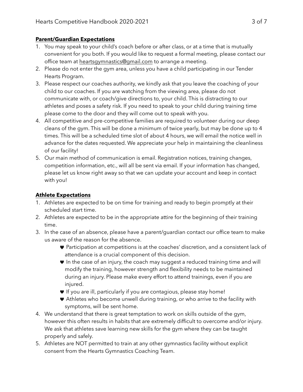### **Parent/Guardian Expectations**

- 1. You may speak to your child's coach before or after class, or at a time that is mutually convenient for you both. If you would like to request a formal meeting, please contact our office team at [heartsgymnastics@gmail.com](mailto:heartsgymnastics@gmail.com) to arrange a meeting.
- 2. Please do not enter the gym area, unless you have a child participating in our Tender Hearts Program.
- 3. Please respect our coaches authority, we kindly ask that you leave the coaching of your child to our coaches. If you are watching from the viewing area, please do not communicate with, or coach/give directions to, your child. This is distracting to our athletes and poses a safety risk. If you need to speak to your child during training time please come to the door and they will come out to speak with you.
- 4. All competitive and pre-competitive families are required to volunteer during our deep cleans of the gym. This will be done a minimum of twice yearly, but may be done up to 4 times. This will be a scheduled time slot of about 4 hours, we will email the notice well in advance for the dates requested. We appreciate your help in maintaining the cleanliness of our facility!
- 5. Our main method of communication is email. Registration notices, training changes, competition information, etc., will all be sent via email. If your information has changed, please let us know right away so that we can update your account and keep in contact with you!

## **Athlete Expectations**

- 1. Athletes are expected to be on time for training and ready to begin promptly at their scheduled start time.
- 2. Athletes are expected to be in the appropriate attire for the beginning of their training time.
- 3. In the case of an absence, please have a parent/guardian contact our office team to make us aware of the reason for the absence.
	- Participation at competitions is at the coaches' discretion, and a consistent lack of attendance is a crucial component of this decision.
	- In the case of an injury, the coach may suggest a reduced training time and will modify the training, however strength and flexibility needs to be maintained during an injury. Please make every effort to attend trainings, even if you are injured.
	- If you are ill, particularly if you are contagious, please stay home!
	- Athletes who become unwell during training, or who arrive to the facility with symptoms, will be sent home.
- 4. We understand that there is great temptation to work on skills outside of the gym, however this often results in habits that are extremely difficult to overcome and/or injury. We ask that athletes save learning new skills for the gym where they can be taught properly and safely.
- 5. Athletes are NOT permitted to train at any other gymnastics facility without explicit consent from the Hearts Gymnastics Coaching Team.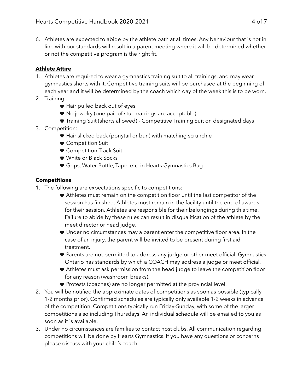6. Athletes are expected to abide by the athlete oath at all times. Any behaviour that is not in line with our standards will result in a parent meeting where it will be determined whether or not the competitive program is the right fit.

### **Athlete Attire**

- 1. Athletes are required to wear a gymnastics training suit to all trainings, and may wear gymnastics shorts with it. Competitive training suits will be purchased at the beginning of each year and it will be determined by the coach which day of the week this is to be worn.
- 2. Training:
	- Hair pulled back out of eyes
	- No jewelry (one pair of stud earrings are acceptable).
	- Training Suit (shorts allowed) Competitive Training Suit on designated days
- 3. Competition:
	- Hair slicked back (ponytail or bun) with matching scrunchie
	- Competition Suit
	- **Competition Track Suit**
	- White or Black Socks
	- Grips, Water Bottle, Tape, etc. in Hearts Gymnastics Bag

#### **Competitions**

- 1. The following are expectations specific to competitions:
	- Athletes must remain on the competition floor until the last competitor of the session has finished. Athletes must remain in the facility until the end of awards for their session. Athletes are responsible for their belongings during this time. Failure to abide by these rules can result in disqualification of the athlete by the meet director or head judge.
	- Under no circumstances may a parent enter the competitive floor area. In the case of an injury, the parent will be invited to be present during first aid treatment.
	- Parents are not permitted to address any judge or other meet official. Gymnastics Ontario has standards by which a COACH may address a judge or meet official.
	- Athletes must ask permission from the head judge to leave the competition floor for any reason (washroom breaks).
	- Protests (coaches) are no longer permitted at the provincial level.
- 2. You will be notified the approximate dates of competitions as soon as possible (typically 1-2 months prior). Confirmed schedules are typically only available 1-2 weeks in advance of the competition. Competitions typically run Friday-Sunday, with some of the larger competitions also including Thursdays. An individual schedule will be emailed to you as soon as it is available.
- 3. Under no circumstances are families to contact host clubs. All communication regarding competitions will be done by Hearts Gymnastics. If you have any questions or concerns please discuss with your child's coach.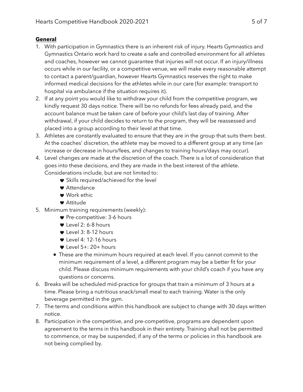### **General**

- 1. With participation in Gymnastics there is an inherent risk of injury. Hearts Gymnastics and Gymnastics Ontario work hard to create a safe and controlled environment for all athletes and coaches, however we cannot guarantee that injuries will not occur. If an injury/illness occurs while in our facility, or a competitive venue, we will make every reasonable attempt to contact a parent/guardian, however Hearts Gymnastics reserves the right to make informed medical decisions for the athletes while in our care (for example: transport to hospital via ambulance if the situation requires it).
- 2. If at any point you would like to withdraw your child from the competitive program, we kindly request 30 days notice. There will be no refunds for fees already paid, and the account balance must be taken care of before your child's last day of training. After withdrawal, if your child decides to return to the program, they will be reassessed and placed into a group according to their level at that time.
- 3. Athletes are constantly evaluated to ensure that they are in the group that suits them best. At the coaches' discretion, the athlete may be moved to a different group at any time (an increase or decrease in hours/fees, and changes to training hours/days may occur).
- 4. Level changes are made at the discretion of the coach. There is a lot of consideration that goes into these decisions, and they are made in the best interest of the athlete. Considerations include, but are not limited to:
	- Skills required/achieved for the level
	- Attendance
	- Work ethic
	- Attitude
- 5. Minimum training requirements (weekly):
	- Pre-competitive: 3-6 hours
	- Level 2: 6-8 hours
	- Level 3: 8-12 hours
	- Level 4: 12-16 hours
	- $\bullet$  Level 5+: 20+ hours
	- These are the minimum hours required at each level. If you cannot commit to the minimum requirement of a level, a different program may be a better fit for your child. Please discuss minimum requirements with your child's coach if you have any questions or concerns.
- 6. Breaks will be scheduled mid-practice for groups that train a minimum of 3 hours at a time. Please bring a nutritious snack/small meal to each training. Water is the only beverage permitted in the gym.
- 7. The terms and conditions within this handbook are subject to change with 30 days written notice.
- 8. Participation in the competitive, and pre-competitive, programs are dependent upon agreement to the terms in this handbook in their entirety. Training shall not be permitted to commence, or may be suspended, if any of the terms or policies in this handbook are not being complied by.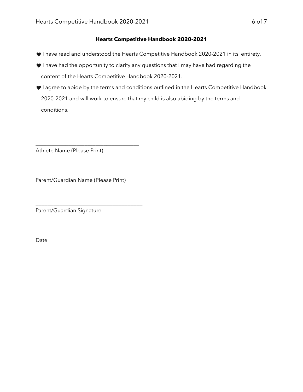#### **Hearts Competitive Handbook 2020-2021**

- I have read and understood the Hearts Competitive Handbook 2020-2021 in its' entirety.
- I have had the opportunity to clarify any questions that I may have had regarding the content of the Hearts Competitive Handbook 2020-2021.
- $\blacktriangledown$  I agree to abide by the terms and conditions outlined in the Hearts Competitive Handbook 2020-2021 and will work to ensure that my child is also abiding by the terms and conditions.

Athlete Name (Please Print)

Parent/Guardian Name (Please Print)

\_\_\_\_\_\_\_\_\_\_\_\_\_\_\_\_\_\_\_\_\_\_\_\_\_\_\_\_\_\_\_\_\_\_\_\_\_\_

\_\_\_\_\_\_\_\_\_\_\_\_\_\_\_\_\_\_\_\_\_\_\_\_\_\_\_\_\_\_\_\_\_\_\_\_\_\_\_

\_\_\_\_\_\_\_\_\_\_\_\_\_\_\_\_\_\_\_\_\_\_\_\_\_\_\_\_\_\_\_\_\_\_\_\_

\_\_\_\_\_\_\_\_\_\_\_\_\_\_\_\_\_\_\_\_\_\_\_\_\_\_\_\_\_\_\_\_\_\_\_\_\_\_\_

Parent/Guardian Signature

Date